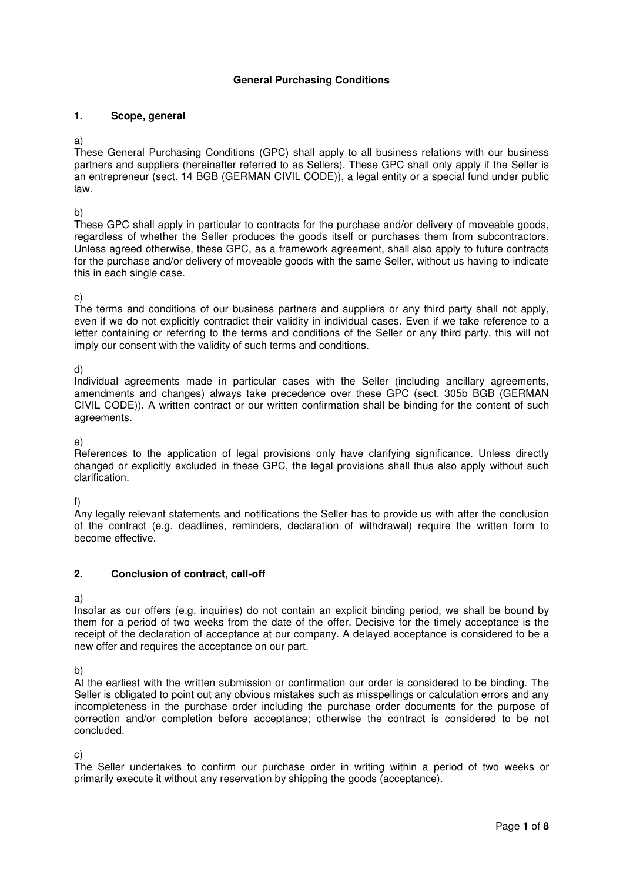## **General Purchasing Conditions**

## **1. Scope, general**

## a)

These General Purchasing Conditions (GPC) shall apply to all business relations with our business partners and suppliers (hereinafter referred to as Sellers). These GPC shall only apply if the Seller is an entrepreneur (sect. 14 BGB (GERMAN CIVIL CODE)), a legal entity or a special fund under public law.

b)

These GPC shall apply in particular to contracts for the purchase and/or delivery of moveable goods, regardless of whether the Seller produces the goods itself or purchases them from subcontractors. Unless agreed otherwise, these GPC, as a framework agreement, shall also apply to future contracts for the purchase and/or delivery of moveable goods with the same Seller, without us having to indicate this in each single case.

## c)

The terms and conditions of our business partners and suppliers or any third party shall not apply, even if we do not explicitly contradict their validity in individual cases. Even if we take reference to a letter containing or referring to the terms and conditions of the Seller or any third party, this will not imply our consent with the validity of such terms and conditions.

d)

Individual agreements made in particular cases with the Seller (including ancillary agreements, amendments and changes) always take precedence over these GPC (sect. 305b BGB (GERMAN CIVIL CODE)). A written contract or our written confirmation shall be binding for the content of such agreements.

e)

References to the application of legal provisions only have clarifying significance. Unless directly changed or explicitly excluded in these GPC, the legal provisions shall thus also apply without such clarification.

f)

Any legally relevant statements and notifications the Seller has to provide us with after the conclusion of the contract (e.g. deadlines, reminders, declaration of withdrawal) require the written form to become effective.

# **2. Conclusion of contract, call-off**

a)

Insofar as our offers (e.g. inquiries) do not contain an explicit binding period, we shall be bound by them for a period of two weeks from the date of the offer. Decisive for the timely acceptance is the receipt of the declaration of acceptance at our company. A delayed acceptance is considered to be a new offer and requires the acceptance on our part.

b)

At the earliest with the written submission or confirmation our order is considered to be binding. The Seller is obligated to point out any obvious mistakes such as misspellings or calculation errors and any incompleteness in the purchase order including the purchase order documents for the purpose of correction and/or completion before acceptance; otherwise the contract is considered to be not concluded.

c)

The Seller undertakes to confirm our purchase order in writing within a period of two weeks or primarily execute it without any reservation by shipping the goods (acceptance).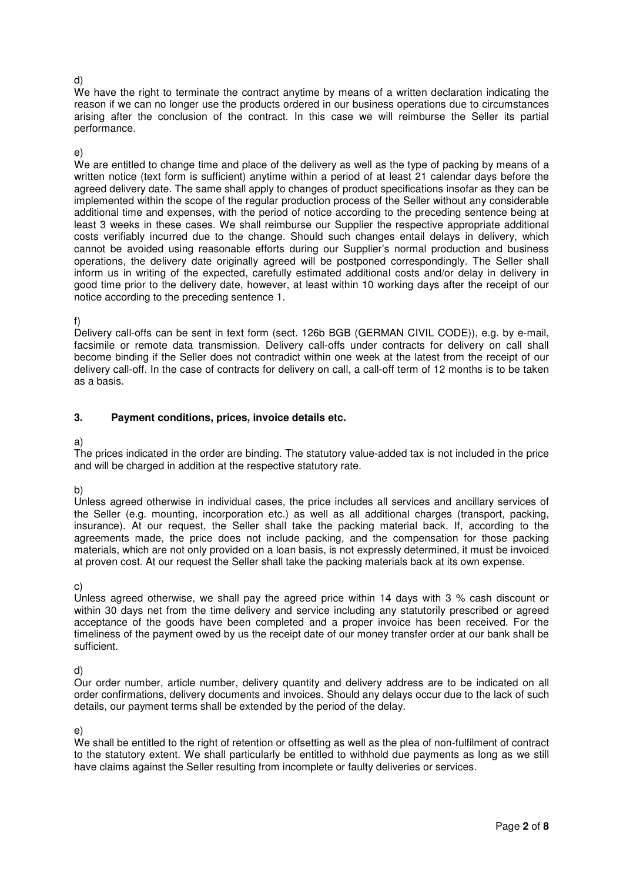### d)

We have the right to terminate the contract anytime by means of a written declaration indicating the reason if we can no longer use the products ordered in our business operations due to circumstances arising after the conclusion of the contract. In this case we will reimburse the Seller its partial performance.

#### e)

We are entitled to change time and place of the delivery as well as the type of packing by means of a written notice (text form is sufficient) anytime within a period of at least 21 calendar days before the agreed delivery date. The same shall apply to changes of product specifications insofar as they can be implemented within the scope of the regular production process of the Seller without any considerable additional time and expenses, with the period of notice according to the preceding sentence being at least 3 weeks in these cases. We shall reimburse our Supplier the respective appropriate additional costs verifiably incurred due to the change. Should such changes entail delays in delivery, which cannot be avoided using reasonable efforts during our Supplier's normal production and business operations, the delivery date originally agreed will be postponed correspondingly. The Seller shall inform us in writing of the expected, carefully estimated additional costs and/or delay in delivery in good time prior to the delivery date, however, at least within 10 working days after the receipt of our notice according to the preceding sentence 1.

## f)

Delivery call-offs can be sent in text form (sect. 126b BGB (GERMAN CIVIL CODE)), e.g. by e-mail, facsimile or remote data transmission. Delivery call-offs under contracts for delivery on call shall become binding if the Seller does not contradict within one week at the latest from the receipt of our delivery call-off. In the case of contracts for delivery on call, a call-off term of 12 months is to be taken as a basis.

## **3. Payment conditions, prices, invoice details etc.**

### a)

The prices indicated in the order are binding. The statutory value-added tax is not included in the price and will be charged in addition at the respective statutory rate.

## b)

Unless agreed otherwise in individual cases, the price includes all services and ancillary services of the Seller (e.g. mounting, incorporation etc.) as well as all additional charges (transport, packing, insurance). At our request, the Seller shall take the packing material back. If, according to the agreements made, the price does not include packing, and the compensation for those packing materials, which are not only provided on a loan basis, is not expressly determined, it must be invoiced at proven cost. At our request the Seller shall take the packing materials back at its own expense.

c)

Unless agreed otherwise, we shall pay the agreed price within 14 days with 3 % cash discount or within 30 days net from the time delivery and service including any statutorily prescribed or agreed acceptance of the goods have been completed and a proper invoice has been received. For the timeliness of the payment owed by us the receipt date of our money transfer order at our bank shall be sufficient.

d)

Our order number, article number, delivery quantity and delivery address are to be indicated on all order confirmations, delivery documents and invoices. Should any delays occur due to the lack of such details, our payment terms shall be extended by the period of the delay.

e)

We shall be entitled to the right of retention or offsetting as well as the plea of non-fulfilment of contract to the statutory extent. We shall particularly be entitled to withhold due payments as long as we still have claims against the Seller resulting from incomplete or faulty deliveries or services.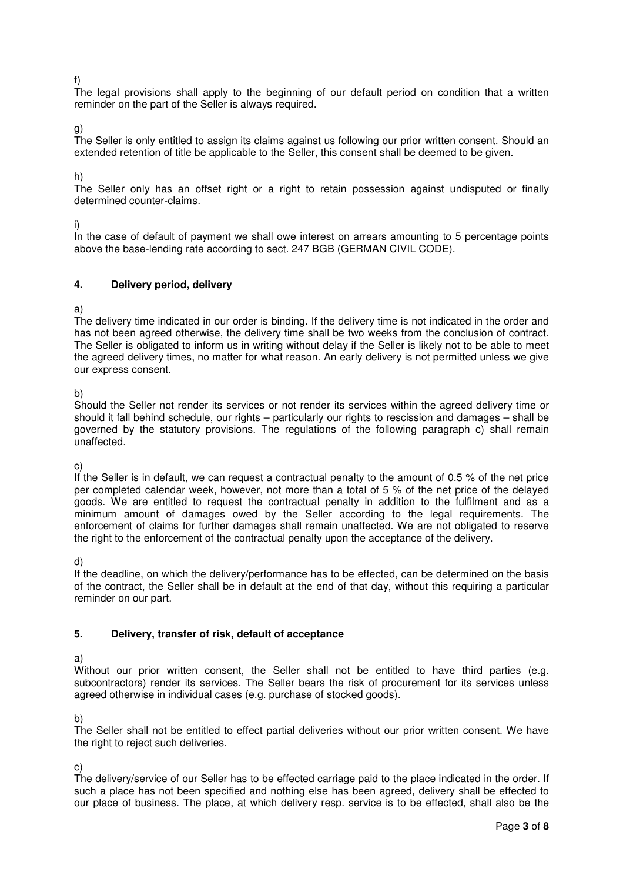f)

The legal provisions shall apply to the beginning of our default period on condition that a written reminder on the part of the Seller is always required.

g)

The Seller is only entitled to assign its claims against us following our prior written consent. Should an extended retention of title be applicable to the Seller, this consent shall be deemed to be given.

h)

The Seller only has an offset right or a right to retain possession against undisputed or finally determined counter-claims.

i)

In the case of default of payment we shall owe interest on arrears amounting to 5 percentage points above the base-lending rate according to sect. 247 BGB (GERMAN CIVIL CODE).

## **4. Delivery period, delivery**

a)

The delivery time indicated in our order is binding. If the delivery time is not indicated in the order and has not been agreed otherwise, the delivery time shall be two weeks from the conclusion of contract. The Seller is obligated to inform us in writing without delay if the Seller is likely not to be able to meet the agreed delivery times, no matter for what reason. An early delivery is not permitted unless we give our express consent.

b)

Should the Seller not render its services or not render its services within the agreed delivery time or should it fall behind schedule, our rights – particularly our rights to rescission and damages – shall be governed by the statutory provisions. The regulations of the following paragraph c) shall remain unaffected.

c)

If the Seller is in default, we can request a contractual penalty to the amount of 0.5 % of the net price per completed calendar week, however, not more than a total of 5 % of the net price of the delayed goods. We are entitled to request the contractual penalty in addition to the fulfilment and as a minimum amount of damages owed by the Seller according to the legal requirements. The enforcement of claims for further damages shall remain unaffected. We are not obligated to reserve the right to the enforcement of the contractual penalty upon the acceptance of the delivery.

d)

If the deadline, on which the delivery/performance has to be effected, can be determined on the basis of the contract, the Seller shall be in default at the end of that day, without this requiring a particular reminder on our part.

## **5. Delivery, transfer of risk, default of acceptance**

a)

Without our prior written consent, the Seller shall not be entitled to have third parties (e.g. subcontractors) render its services. The Seller bears the risk of procurement for its services unless agreed otherwise in individual cases (e.g. purchase of stocked goods).

b)

The Seller shall not be entitled to effect partial deliveries without our prior written consent. We have the right to reject such deliveries.

c)

The delivery/service of our Seller has to be effected carriage paid to the place indicated in the order. If such a place has not been specified and nothing else has been agreed, delivery shall be effected to our place of business. The place, at which delivery resp. service is to be effected, shall also be the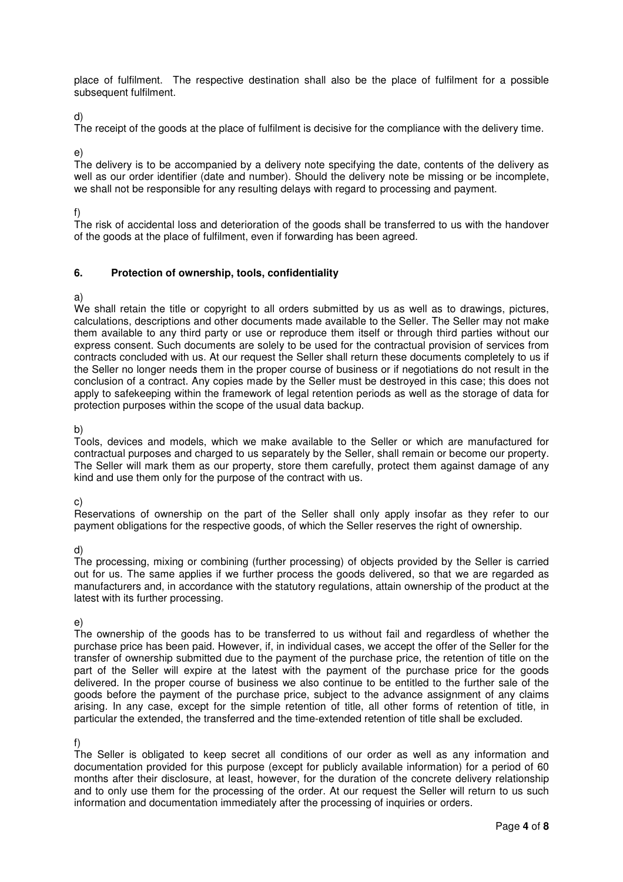place of fulfilment. The respective destination shall also be the place of fulfilment for a possible subsequent fulfilment.

d)

The receipt of the goods at the place of fulfilment is decisive for the compliance with the delivery time.

e)

The delivery is to be accompanied by a delivery note specifying the date, contents of the delivery as well as our order identifier (date and number). Should the delivery note be missing or be incomplete, we shall not be responsible for any resulting delays with regard to processing and payment.

f)

The risk of accidental loss and deterioration of the goods shall be transferred to us with the handover of the goods at the place of fulfilment, even if forwarding has been agreed.

## **6. Protection of ownership, tools, confidentiality**

a)

We shall retain the title or copyright to all orders submitted by us as well as to drawings, pictures, calculations, descriptions and other documents made available to the Seller. The Seller may not make them available to any third party or use or reproduce them itself or through third parties without our express consent. Such documents are solely to be used for the contractual provision of services from contracts concluded with us. At our request the Seller shall return these documents completely to us if the Seller no longer needs them in the proper course of business or if negotiations do not result in the conclusion of a contract. Any copies made by the Seller must be destroyed in this case; this does not apply to safekeeping within the framework of legal retention periods as well as the storage of data for protection purposes within the scope of the usual data backup.

b)

Tools, devices and models, which we make available to the Seller or which are manufactured for contractual purposes and charged to us separately by the Seller, shall remain or become our property. The Seller will mark them as our property, store them carefully, protect them against damage of any kind and use them only for the purpose of the contract with us.

c)

Reservations of ownership on the part of the Seller shall only apply insofar as they refer to our payment obligations for the respective goods, of which the Seller reserves the right of ownership.

d)

The processing, mixing or combining (further processing) of objects provided by the Seller is carried out for us. The same applies if we further process the goods delivered, so that we are regarded as manufacturers and, in accordance with the statutory regulations, attain ownership of the product at the latest with its further processing.

e)

The ownership of the goods has to be transferred to us without fail and regardless of whether the purchase price has been paid. However, if, in individual cases, we accept the offer of the Seller for the transfer of ownership submitted due to the payment of the purchase price, the retention of title on the part of the Seller will expire at the latest with the payment of the purchase price for the goods delivered. In the proper course of business we also continue to be entitled to the further sale of the goods before the payment of the purchase price, subject to the advance assignment of any claims arising. In any case, except for the simple retention of title, all other forms of retention of title, in particular the extended, the transferred and the time-extended retention of title shall be excluded.

f)

The Seller is obligated to keep secret all conditions of our order as well as any information and documentation provided for this purpose (except for publicly available information) for a period of 60 months after their disclosure, at least, however, for the duration of the concrete delivery relationship and to only use them for the processing of the order. At our request the Seller will return to us such information and documentation immediately after the processing of inquiries or orders.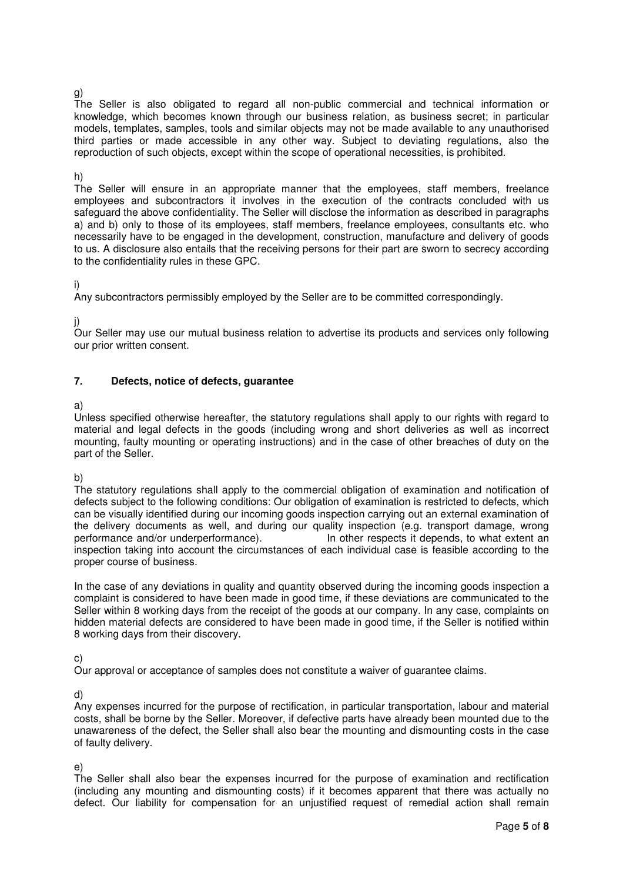## g)

The Seller is also obligated to regard all non-public commercial and technical information or knowledge, which becomes known through our business relation, as business secret; in particular models, templates, samples, tools and similar objects may not be made available to any unauthorised third parties or made accessible in any other way. Subject to deviating regulations, also the reproduction of such objects, except within the scope of operational necessities, is prohibited.

#### h)

The Seller will ensure in an appropriate manner that the employees, staff members, freelance employees and subcontractors it involves in the execution of the contracts concluded with us safeguard the above confidentiality. The Seller will disclose the information as described in paragraphs a) and b) only to those of its employees, staff members, freelance employees, consultants etc. who necessarily have to be engaged in the development, construction, manufacture and delivery of goods to us. A disclosure also entails that the receiving persons for their part are sworn to secrecy according to the confidentiality rules in these GPC.

## i)

Any subcontractors permissibly employed by the Seller are to be committed correspondingly.

j)

Our Seller may use our mutual business relation to advertise its products and services only following our prior written consent.

## **7. Defects, notice of defects, guarantee**

## a)

Unless specified otherwise hereafter, the statutory regulations shall apply to our rights with regard to material and legal defects in the goods (including wrong and short deliveries as well as incorrect mounting, faulty mounting or operating instructions) and in the case of other breaches of duty on the part of the Seller.

b)

The statutory regulations shall apply to the commercial obligation of examination and notification of defects subject to the following conditions: Our obligation of examination is restricted to defects, which can be visually identified during our incoming goods inspection carrying out an external examination of the delivery documents as well, and during our quality inspection (e.g. transport damage, wrong performance and/or underperformance). In other respects it depends, to what extent an inspection taking into account the circumstances of each individual case is feasible according to the proper course of business.

In the case of any deviations in quality and quantity observed during the incoming goods inspection a complaint is considered to have been made in good time, if these deviations are communicated to the Seller within 8 working days from the receipt of the goods at our company. In any case, complaints on hidden material defects are considered to have been made in good time, if the Seller is notified within 8 working days from their discovery.

## c)

Our approval or acceptance of samples does not constitute a waiver of guarantee claims.

d)

Any expenses incurred for the purpose of rectification, in particular transportation, labour and material costs, shall be borne by the Seller. Moreover, if defective parts have already been mounted due to the unawareness of the defect, the Seller shall also bear the mounting and dismounting costs in the case of faulty delivery.

## e)

The Seller shall also bear the expenses incurred for the purpose of examination and rectification (including any mounting and dismounting costs) if it becomes apparent that there was actually no defect. Our liability for compensation for an unjustified request of remedial action shall remain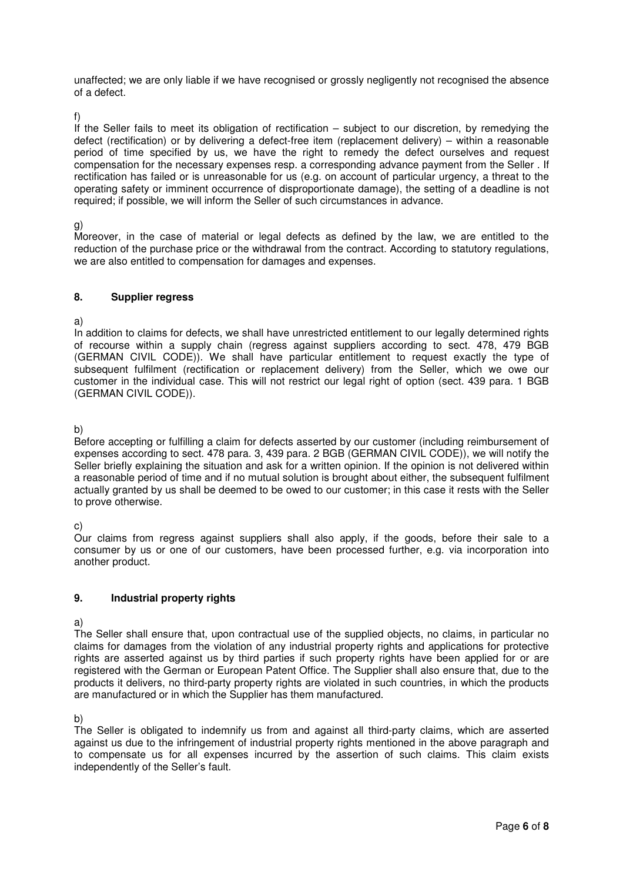unaffected; we are only liable if we have recognised or grossly negligently not recognised the absence of a defect.

f)

If the Seller fails to meet its obligation of rectification – subject to our discretion, by remedying the defect (rectification) or by delivering a defect-free item (replacement delivery) – within a reasonable period of time specified by us, we have the right to remedy the defect ourselves and request compensation for the necessary expenses resp. a corresponding advance payment from the Seller . If rectification has failed or is unreasonable for us (e.g. on account of particular urgency, a threat to the operating safety or imminent occurrence of disproportionate damage), the setting of a deadline is not required; if possible, we will inform the Seller of such circumstances in advance.

g)

Moreover, in the case of material or legal defects as defined by the law, we are entitled to the reduction of the purchase price or the withdrawal from the contract. According to statutory regulations, we are also entitled to compensation for damages and expenses.

## **8. Supplier regress**

a)

In addition to claims for defects, we shall have unrestricted entitlement to our legally determined rights of recourse within a supply chain (regress against suppliers according to sect. 478, 479 BGB (GERMAN CIVIL CODE)). We shall have particular entitlement to request exactly the type of subsequent fulfilment (rectification or replacement delivery) from the Seller, which we owe our customer in the individual case. This will not restrict our legal right of option (sect. 439 para. 1 BGB (GERMAN CIVIL CODE)).

b)

Before accepting or fulfilling a claim for defects asserted by our customer (including reimbursement of expenses according to sect. 478 para. 3, 439 para. 2 BGB (GERMAN CIVIL CODE)), we will notify the Seller briefly explaining the situation and ask for a written opinion. If the opinion is not delivered within a reasonable period of time and if no mutual solution is brought about either, the subsequent fulfilment actually granted by us shall be deemed to be owed to our customer; in this case it rests with the Seller to prove otherwise.

c)

Our claims from regress against suppliers shall also apply, if the goods, before their sale to a consumer by us or one of our customers, have been processed further, e.g. via incorporation into another product.

# **9. Industrial property rights**

a)

The Seller shall ensure that, upon contractual use of the supplied objects, no claims, in particular no claims for damages from the violation of any industrial property rights and applications for protective rights are asserted against us by third parties if such property rights have been applied for or are registered with the German or European Patent Office. The Supplier shall also ensure that, due to the products it delivers, no third-party property rights are violated in such countries, in which the products are manufactured or in which the Supplier has them manufactured.

b)

The Seller is obligated to indemnify us from and against all third-party claims, which are asserted against us due to the infringement of industrial property rights mentioned in the above paragraph and to compensate us for all expenses incurred by the assertion of such claims. This claim exists independently of the Seller's fault.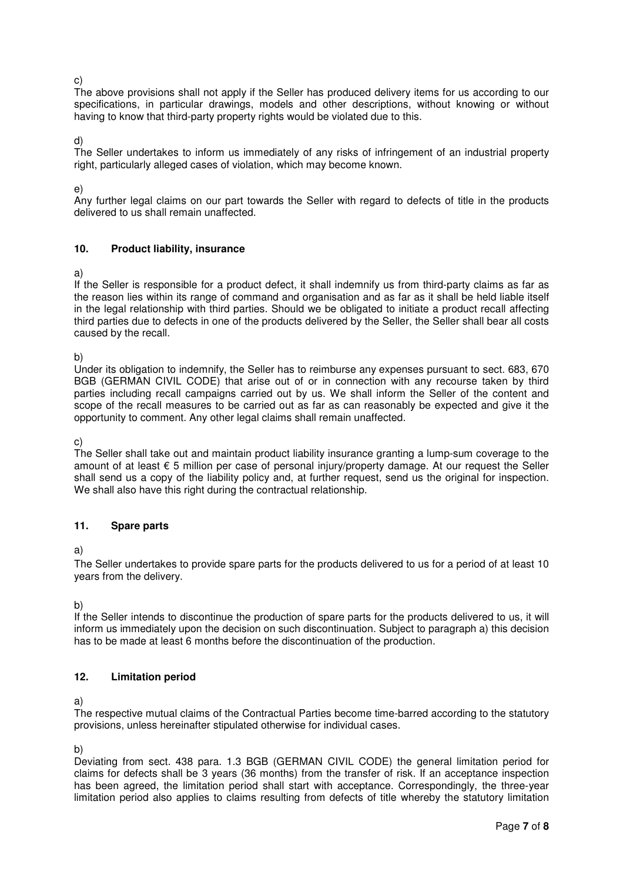c)

The above provisions shall not apply if the Seller has produced delivery items for us according to our specifications, in particular drawings, models and other descriptions, without knowing or without having to know that third-party property rights would be violated due to this.

d)

The Seller undertakes to inform us immediately of any risks of infringement of an industrial property right, particularly alleged cases of violation, which may become known.

e)

Any further legal claims on our part towards the Seller with regard to defects of title in the products delivered to us shall remain unaffected.

## **10. Product liability, insurance**

a)

If the Seller is responsible for a product defect, it shall indemnify us from third-party claims as far as the reason lies within its range of command and organisation and as far as it shall be held liable itself in the legal relationship with third parties. Should we be obligated to initiate a product recall affecting third parties due to defects in one of the products delivered by the Seller, the Seller shall bear all costs caused by the recall.

b)

Under its obligation to indemnify, the Seller has to reimburse any expenses pursuant to sect. 683, 670 BGB (GERMAN CIVIL CODE) that arise out of or in connection with any recourse taken by third parties including recall campaigns carried out by us. We shall inform the Seller of the content and scope of the recall measures to be carried out as far as can reasonably be expected and give it the opportunity to comment. Any other legal claims shall remain unaffected.

c)

The Seller shall take out and maintain product liability insurance granting a lump-sum coverage to the amount of at least € 5 million per case of personal injury/property damage. At our request the Seller shall send us a copy of the liability policy and, at further request, send us the original for inspection. We shall also have this right during the contractual relationship.

## **11. Spare parts**

a)

The Seller undertakes to provide spare parts for the products delivered to us for a period of at least 10 years from the delivery.

b)

If the Seller intends to discontinue the production of spare parts for the products delivered to us, it will inform us immediately upon the decision on such discontinuation. Subject to paragraph a) this decision has to be made at least 6 months before the discontinuation of the production.

# **12. Limitation period**

a)

The respective mutual claims of the Contractual Parties become time-barred according to the statutory provisions, unless hereinafter stipulated otherwise for individual cases.

b)

Deviating from sect. 438 para. 1.3 BGB (GERMAN CIVIL CODE) the general limitation period for claims for defects shall be 3 years (36 months) from the transfer of risk. If an acceptance inspection has been agreed, the limitation period shall start with acceptance. Correspondingly, the three-year limitation period also applies to claims resulting from defects of title whereby the statutory limitation